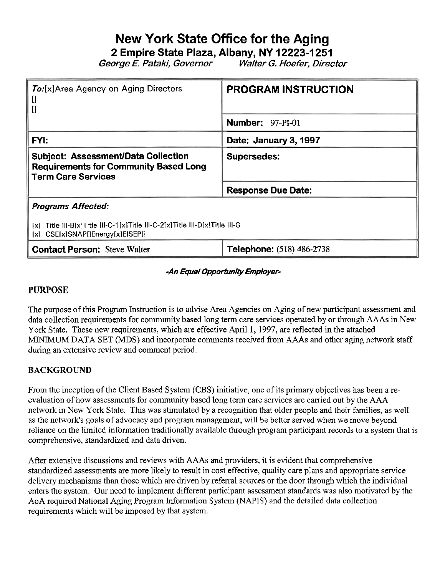# **New York State Office for the Aging**

**2 Empire State Plaza, Albany, NY 12223-1 251** 

George **E.** Pataki, Governor Walter G. Hoefer, Director

| <b>To:</b> [x]Area Agency on Aging Directors<br>$\prod$<br>$\mathbf{I}$                                                       | <b>PROGRAM INSTRUCTION</b>       |  |  |  |
|-------------------------------------------------------------------------------------------------------------------------------|----------------------------------|--|--|--|
|                                                                                                                               | <b>Number: 97-PI-01</b>          |  |  |  |
| <b>FYI:</b>                                                                                                                   | Date: January 3, 1997            |  |  |  |
| <b>Subject: Assessment/Data Collection</b><br><b>Requirements for Community Based Long</b><br><b>Term Care Services</b>       | <b>Supersedes:</b>               |  |  |  |
|                                                                                                                               | <b>Response Due Date:</b>        |  |  |  |
| <b>Programs Affected:</b>                                                                                                     |                                  |  |  |  |
| Title III-B[x]Title III-C-1[x]Title III-C-2[x]Title III-D[x]Title III-G<br>Ex1.<br>$[x]$ CSE $[x]$ SNAP[]Energy $[x]$ EISEP[] |                                  |  |  |  |
| <b>Contact Person: Steve Walter</b>                                                                                           | <b>Telephone: (518) 486-2738</b> |  |  |  |

# -An Equal Opportunity Employer-

# **PURPOSE**

The purpose of this Program Instruction is to advise Area Agencies on Aging of new participant assessment and data collection requirements for community based long term care services operated by or through AAAs in New York State. These new requirements, which are effective April 1, 1997, are reflected in the attached MNMUM DATA SET (MDS) and incorporate comments received from AAAs and other aging network staff during an extensive review and comment period.

# **BACKGROUND**

From the inception of the Client Based System (CBS) initiative, one of its primary objectives has been a reevaluation of how assessments for community based long term care services are carried out by the AAA network in New York State. This was stimulated by a recognition that older people and their families, as well as the network's goals of advocacy and program management, will be better served when we move beyond reliance on the limited information traditionally available through program participant records to a system that is comprehensive, standardized and data driven.

After extensive discussions and reviews with AAAs and providers, it is evident that comprehensive standardized assessments are more likely to result in cost effective, quality care plans and appropriate service delivery mechanisms than those which are driven by referral sources or the door through which the individual enters the system. Our need to implement different participant assessment standards was also motivated by the AoA required National Aging Program Information System (NAPIS) and the detailed data collection requirements which will be imposed by that system.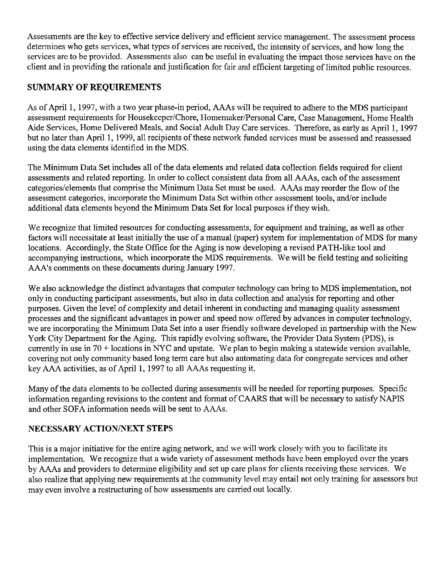Assessments are the key to effective service delivery and efficient service management. The assessment process determines who gets services, what types of services are received, the intensity of services, and how long the services are to be provided. Assessments also can be useful in evaluating the impact those services have on the client and in providing the rationale and justification for fair and efficient targeting of limited public resources.

# SUMMARY OF REQUIREMENTS

As of April 1, 1997, with a two year phase-in period, AAAs will be required to adhere to the MDS participant assessment requirements for Housekeeper/Chore, Homemaker/Personal Care, Case Management, Home Health Aide Services, Home Delivered Meals, and Social Adult Day Care services. Therefore, as early as April 1,1997 but no later than April 1, 1999, all recipients of these network funded services must be assessed and reassessed using the data elements identified in the MDS.

The Minimum Data Set includes all of the data elements and related data collection fields required for client assessments and related reporting. In order to collect consistent data from all AAAs, each of the assessment categories/elements that comprise the Minimum Data Set must be used. AAAs may reorder the flow of the assessment categories, incorporate the Minimum Data Set within other assessment tools, and/or include additional data elements beyond the Minimum Data Set for local purposes if they wish.

We recognize that limited resources for conducting assessments, for equipment and training, as well as other factors will necessitate at least initially the use of a manual (paper) system for implementation of MDS for many locations. Accordingly, the State Office for the Aging is now developing a revised PATH-like tool and accompanying instructions, which incorporate the MDS requirements. We will be field testing and soliciting AAA's comments on these documents during January 1997.

We also acknowledge the distinct advantages that computer technology can bring to MDS implementation, not only in conducting participant assessments, but also in data collection and analysis for reporting and other purposes. Given the level of complexity and detail inherent in conducting and managing quality assessment processes and the significant advantages in power and speed now offered by advances in computer technology, we are incorporating the Minimum Data Set into a user friendly software developed in partnership with the New York City Department for the Aging. This rapidly evolving software, the Provider Data System (PDS), is currently in use in 70 +locations in *NYC* and upstate. We plan to begin making a statewide version available, covering not only community based long term care but also automating data for congregate services and other key AAA activities, as of April 1, 1997 to all AAAs requesting it.

Many of the data elements to be collected during assessments will be needed for reporting purposes. Specific information regarding revisions to the content and format of CAARS that will be necessary to satisfy NAPIS and other SOFA information needs will be sent to AAAs.

# NECESSARY ACTION/NEXT STEPS

This is a major initiative for the entire aging network, and we will work closely with you to facilitate its implementation. We recognize that a wide variety of assessment methods have been employed over the years by AAAs and providers to determine eligibility and set up care plans for clients receiving these services. We also realize that applying new requirements at the community level may entail not only training for assessors but may even involve a restructuring of how assessments are carried out locally.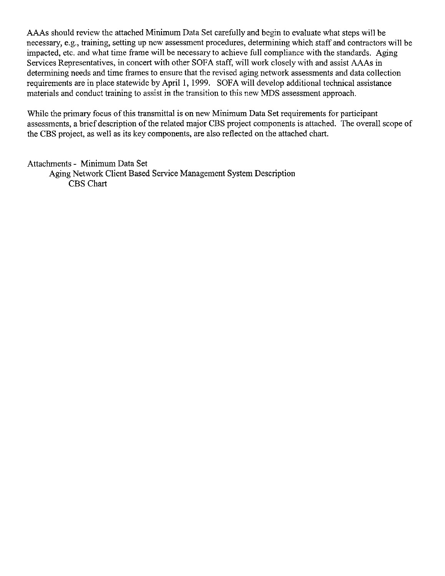AAAs should review the attached Minimum Data Set carefully and begin to evaluate what steps will be necessary, e.g., training, setting up new assessment procedures, determining which staff and contractors will be impacted, etc. and what time frame will be necessary to achieve full compliance with the standards. Aging Services Representatives, in concert with other SOFA staff, will work closely with and assist AAAs in determining needs and time frames to ensure that the revised aging network assessments and data collection requirements are in place statewide by April 1, 1999. SOFA will develop additional technical assistance materials and conduct training to assist in the transition to this new MDS assessment approach.

While the primary focus of this transmittal is on new Minimum Data Set requirements for participant assessments, a brief description of the related major CBS project components is attached. The overall scope of the CBS project, as well as its key components, are also reflected on the attached chart.

Attachments - Minimum Data Set Aging Network Client Based Service Management System Description CBS Chart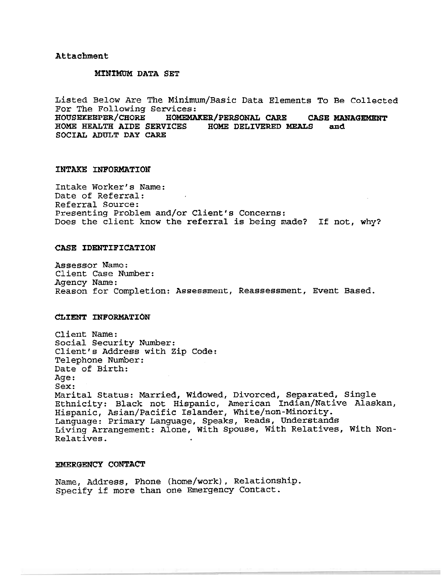#### **Attachment**

#### **MINIMClM DATA SET**

Listed Below Are The Minimum/Basic Data Elements To Be Collected For The Following Services:<br>HOUSEKEEPER/CHORE HOMEMA **HOUSEKEEPER/CHORE HOMEMIUCEB/PERSONAL CARE CASE MANAGEWENT HOME HEALTH AIDE SERVICES HOME DELIVERED MEALS and SOCIAL ADULT DAY CARE** 

#### **INTAKE INFORMATION**

Intake Worker's Name: Date of Referral: Referral Source: Presenting Problem and/or Client's Concerns: Does the client know the referral is being made? If not, why?

#### **CASE IDENTIFICATION**

Assessor Name: Client Case Number: Agency Name: Reason for Completion: Assessment, Reassessment, Event Based.

### **CLIENT INFORMATION**

Client Name: Social Security Number: Client's Address with Zip Code: Telephone Number: Date of Birth: Age : Sex: Marital Status: Married, Widowed, Divorced, Separated, Single Ethnicity: Black not Hispanic, American Indian/Native Alaskan, Hispanic, Asian/PaCific Islander, White/non-Minority. Language: Primary Language, Speaks, Reads, Understands Living Arrangement: Alone, With Spouse, With Relatives, With Non-Relatives.

### **EMERGENCY CONTACT**

Name, Address, Phone (home/work), Relationship. Specify if more than one Emergency Contact.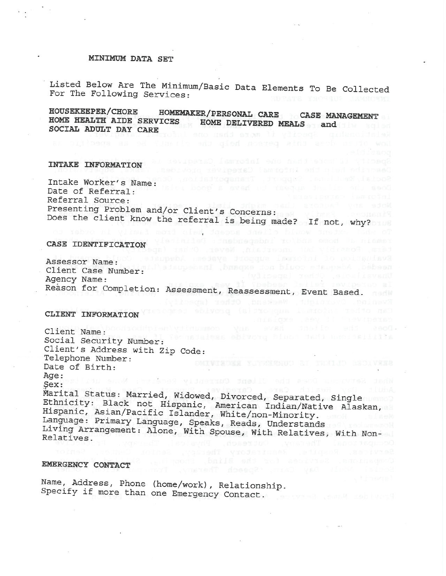### **MINIMUM DATA SET**

Listed Below Are The Minimum/Basic Data Elements To Be Collected For The Following Services:

HOMEMAKER/PERSONAL CARE CASE MANAGEMENT HOUSEKEEPER/CHORE HOME HEALTH AIDE SERVICES HOME DELIVERED MEALS and SOCIAL ADULT DAY CARE

### INTAKE INFORMATION

Intake Worker's Name: Date of Referral: Date of Referral.<br>Referral Source:<br>Presenting Problem and/or Client's Concerns: Does the client know the referral is being made? If not, why?

Deam time had nothing theoremal Career problems

Evening Cyerolohr, Westerd, Other (specifi

daeane dheis hivow dheis. Gim of

#### CASE IDENTIFICATION

Bvaluation of informal support system: Adequate Assessor Name: Client Case Number: Unavailmele, Other (specify)<br>Is curequyer felici needeg? If wes, ex Agency Name: Reason for Completion: Assessment, Reassessment, Event Based.

#### CLIENT INFORMATION

Client Name: Social Security Number: abivoto binos dand anoicellija Client's Address with Zip Code: Telephone Number: Date of Birth: Age: What Services Down the Disma Current view Sex: yex:<br>Marital Status: Married, Widowed, Divorced, Separated, Single

Ethnicity: Black not Hispanic, American Indian/Native Alaskan, Hispanic, Asian/Pacific Islander, White/non-Minority. Language: Primary Language, Speaks, Reads, Understands Living Arrangement: Alone, With Spouse, With Relatives, With Non-Relatives.

### EMERGENCY CONTACT

Name, Address, Phone (home/work), Relationship. Specify if more than one Emergency Contact.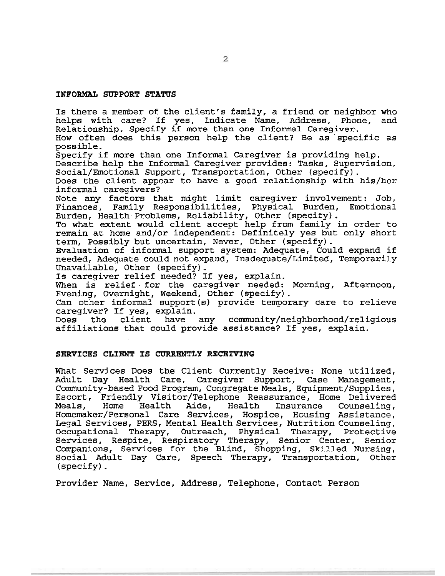#### **INFORMAL SUPPORT STATUS**

Is there a member of the client's family, a friend or neighbor who helps with care? If yes, Indicate Name, Address, Phone, and helps with care? If yes, Indicate Name, Address, Relationship. Specify if more than one Informal Caregiver. How often does this person help the client? Be as specific as possible. Specify if more than one Informal Caregiver is providing help. Describe help the Informal Caregiver provides: Tasks, Supervision, Social/Emotional Support, Transportation, Other (specify). Does the client appear to have a good relationship with his/her informal caregivers? Note any factors that might limit caregiver involvement: Job,<br>Finances. Family Responsibilities, Physical Burden, Emotional Finances, Family Responsibilities, Physical Burden, Emotional Burden, Health Problems, Reliability, Other (specify). To what extent would client accept help from family in order to remain at home and/or independent: Definitely yes but only short term, Possibly but uncertain, Never, Other (specify). Evaluation of informal support system: Adequate, Could expand if needed, Adequate could not expand, Inadequate/Limited, Temporarily Unavailable, Other (specify). Is caregiver relief needed? If yes, explain. When is relief for the caregiver needed: Morning, Afternoon, Evening, Overnight, Weekend, Other (specify). Can other informal support(s) provide temporary care to relieve

caregiver? If yes, explain.<br>Does the client have any Does the client have any **community/neighborhood/religious**  affiliations that could provide assistance? If yes, explain.

#### **SERVICES CLIENT IS CURRENTLY RECEIVING**

What Services Does the Client Currently Receive: None utilized, Adult Day Health Care, Caregiver Support, Case Management, Community-based Food Program, Congregate Meals, Equipment/Supplies, Escort, Friendly Visitor/Telephone Reassurance, Home Delivered Meals, Home Health Aide, Health Insurance Counseling, Homemaker/Personal Care Services, Hospice, Housing Assistance, Legal Services, PERS, Mental Health Services, Nutrition Counseling,<br>Occupational Therapy, Outreach, Physical Therapy, Protective Outreach, Physical Therapy, Services, Respite, Respiratory Therapy, Senior Center, Senior Companions, Services for the Blind, Shopping, Skilled Nursing, Social Adult Day Care, Speech Therapy, Transportation, Other (specify).

Provider Name, Service, Address, Telephone, Contact Person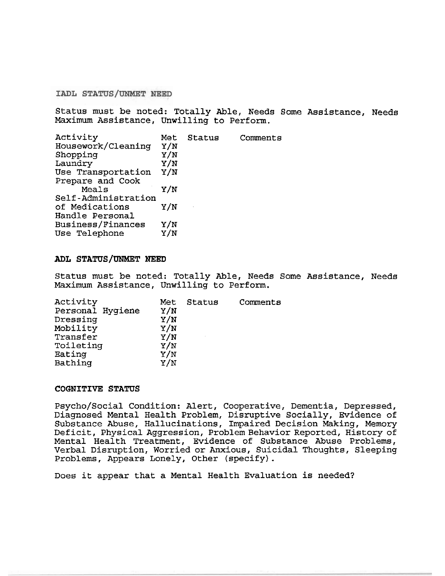IADL STATUS/UNMET NEED

Status must be noted: Totally Able, Needs Some Assistance, Needs Maximum Assistance, Unwilling to Perform.

| Activity            | Met | Status | Comments |
|---------------------|-----|--------|----------|
| Housework/Cleaning  | Y/N |        |          |
| Shopping            | Y/N |        |          |
| Laundry             | Y/N |        |          |
| Use Transportation  | Y/N |        |          |
| Prepare and Cook    |     |        |          |
| Meals               | Y/N |        |          |
| Self-Administration |     |        |          |
| of Medications      | Y/N |        |          |
| Handle Personal     |     |        |          |
| Business/Finances   | Y/N |        |          |
| Use Telephone       | Y/N |        |          |
|                     |     |        |          |

#### **ADL STATUS/UNMET NEED**

Status must be noted: Totally Able, Needs Some Assistance, Needs Maximum Assistance, Unwilling to Perform.

| Activity<br>Personal Hygiene<br>Dressing<br>Mobility<br>Transfer<br>Toileting<br>Eating<br>Bathing | Met<br>Y/N<br>Y/N<br>Y/N<br>Y/N<br>Y/N<br>Y/N<br>Y/N | Status | Comments |
|----------------------------------------------------------------------------------------------------|------------------------------------------------------|--------|----------|
|                                                                                                    |                                                      |        |          |

### **COGNITIVE STATUS**

Psycho/Social Condition: Alert, Cooperative, Dementia, Depressed, Diagnosed Mental Health Problem, Disruptive Socially, Evidence of Substance Abuse, Hallucinations, Impaired Decision Making, Memory Deficit, Physical Aggression, Problem Behavior Reported, History of Mental Health Treatment, Evidence of Substance Abuse Problems, Verbal Disruption, Worried or Anxious, Suicidal Thoughts, Sleeping Problems, Appears Lonely, Other (specify).

Does it appear that a Mental Health Evaluation is needed?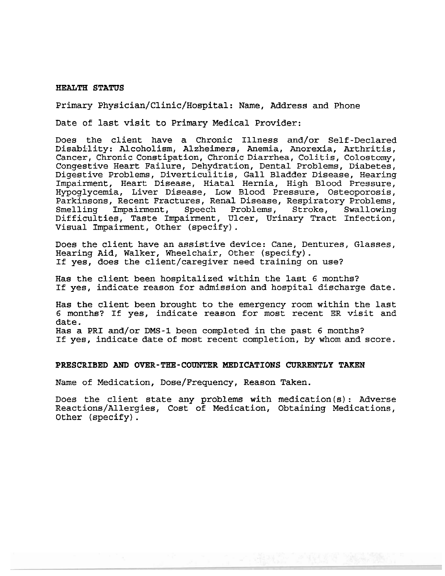### **HEALTH STATUS**

### Primary **Physician/Clinic/Hospital:** Name, Address and Phone

Date of last visit to Primary Medical Provider:

Does the client have a Chronic Illness and/or Self-Declared Disability: Alcoholism, Alzheimers, Anemia, Anorexia, Arthritis, Cancer, Chronic Constipation, Chronic Diarrhea, Colitis, Colostomy, Congestive Heart Failure, Dehydration, Dental Problems, Diabetes, Digestive Problems, Diverticulitis, Gall Bladder Disease, Hearing Impairment, Heart Disease, Hiatal Hernia, High Blood Pressure, Hypoglycemia, Liver Disease, Low Blood Pressure, Osteoporosis, Parkinsons, Recent Fractures, Renal Disease, Respiratory Problems,<br>Smelling Impairment, Speech Problems, Stroke, Swallowing Smelling Impairment, Speech Problems, Stroke, Swallowing Difficulties, Taste Impairment, Ulcer, Urinary Tract Infection, Visual Impairment, Other (specify).

Does the client have an assistive device: Cane, Dentures, Glasses, Hearing Aid, Walker, Wheelchair, Other (specify). If yes, does the client/caregiver need training on use?

Has the client been hospitalized within the last 6 months? If yes, indicate reason for admission and hospital discharge date.

Has the client been brought to the emergency room within the last 6 months? If yes, indicate reason for most recent ER visit and date. Has a PRI and/or DMS-1 been completed in the past 6 months? If yes, indicate date of most recent completion, by whom and score.

#### **PRESCRIBED AND OVER-THE-COUNTER MEDICATIONS CURRENTLY TAKEN**

Name of Medication, Dose/Frequency, Reason Taken.

Does the client state any problems with medication(s) : Adverse Reactions/Allergies, Cost of Medication, Obtaining Medications, Other (specify).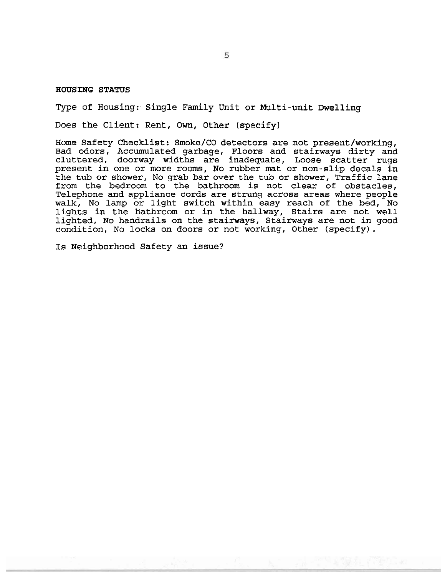**HOUSING STATUS** 

Type of Housing: Single Family Unit or Multi-unit Dwelling

Does the Client: Rent, Own, Other (specify)

Home Safety Checklist: Smoke/CO detectors are not present/working, Bad odors, Accumulated garbage, Floors and stairways dirty and cluttered, doorway widths are inadequate, Loose scatter rugs present in one or more rooms, No rubber mat or non-slip decals in the tub or shower, No grab bar over the tub or shower, Traffic lane from the bedroom to the bathroom is not clear of obstacles, Telephone and appliance cords are strung across areas where people walk, No lamp or light switch within easy reach of the bed, No lights in the bathroom or in the hallway, Stairs are not well lighted, No handrails on the stairways, Stairways are not in good condition, No locks on doors or not working, Other (specify).

Is Neighborhood Safety an issue?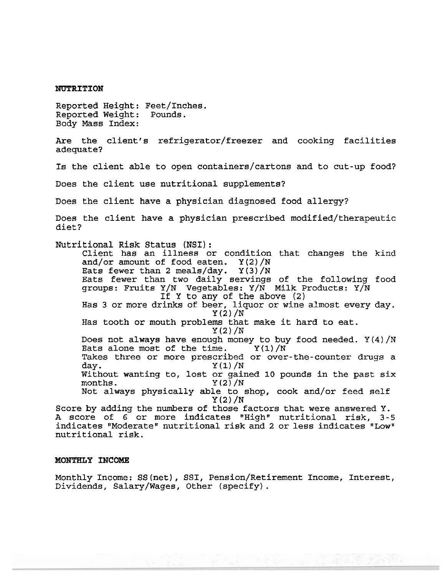#### **NUTRITION**

Reported Height: Feet/Inches.<br>Reported Weight: Pounds. Reported Weight: Body Mass Index:

Are the client's refrigerator/freezer and cooking facilities adequate?

Is the client able to open containers/cartons and to cut-up food?

Does the client use nutritional supplements?

Does the client have a physician diagnosed food allergy?

Does the client have a physician prescribed modified/therapeutic diet?

Nutritional Risk Status (NSI):

Client has an illness or condition that changes the kind and/or amount of food eaten.  $Y(2)/N$ <br>Eats fewer than 2 meals/day.  $Y(3)/N$ Eats fewer than  $2$  meals/day. Eats fewer than two daily servings of the following food groups: Fruits Y/N Vegetables: Y/N Milk Products: Y/N If Y to any of the above (2) Has 3 or more drinks of beer, liquor or wine almost every day. Y(2)/N Has tooth or mouth problems that make it hard to eat.  $Y(2)/N$ Does not always have enough money to buy food needed.  $Y(4)/N$ <br>Eats alone most of the time.  $Y(1)/N$ Eats alone most of the time. Takes three or more prescribed or over-the-counter drugs a day.<br> $Y(1)/N$  $Y(1)/N$ Without wanting to, lost or gained 10 pounds in the past six months.  $Y(2)/N$  $Y(2)/N$ Not always physically able to shop, cook and/or feed self Y **(2)** /N Score by adding the numbers of those factors that were answered Y.

A score of 6 or more indicates "High" nutritional risk, 3-5 indicates "Moderate" nutritional risk and 2 or less indicates "Low" nutritional risk.

### **MONTHLY INCOME**

Monthly Income: SS(net), SSI, Pension/Retirement Income, Interest, Dividends, Salary/Wages, Other (specify).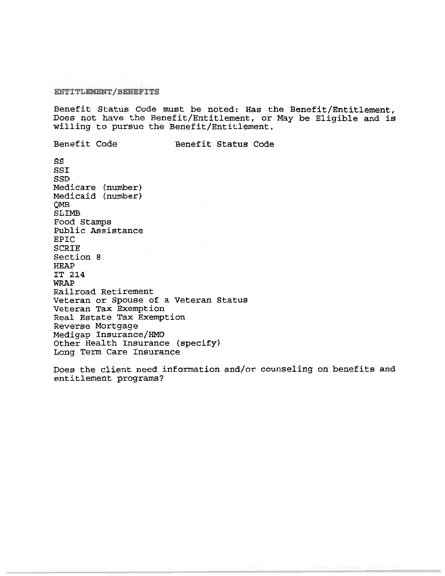ENTITLEMENT/BENEFITS

Benefit Status Code must be noted: Has the Benefit/Entitlement, Does not have the Benefit/Entitlement, or May be Eligible and is willing to pursue the Benefit/Entitlement.

Benefit Code Benefit Status Code SS SSI SSD Medicare (number) Medicaid (number) QMB SLIMB Food Stamps Public Assistance EPIC SCRIE Section 8 HEAP IT 214 WRAP Railroad Retirement Veteran or Spouse of a Veteran Status Veteran Tax Exemption Real Estate Tax Exemption Reverse Mortgage Medigap Insurance/HMO Other Health Insurance (specify) Long Term Care Insurance

Does the client need information and/or counseling on benefits and entitlement programs?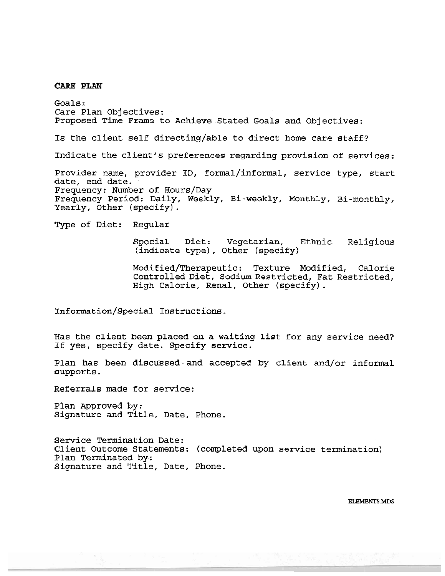**CARE PLAN** 

Goals : Care Plan Objectives: Proposed Time Frame to Achieve Stated Goals and Objectives: Is the client self directing/able to direct home care staff? Indicate the client's preferences regarding provision of services: Provider name, provider ID, formal/informal, service type, start date, end date. Frequency: Number of Hours/Day Frequency Period: Daily, Weekly, Bi-weekly, Monthly, Bi-monthly, Yearly, Other (specify). Type of Diet: Regular Special Diet: Vegetarian, Ethnic Religious (indicate type), Other (specify) Modified/Therapeutic: Texture Modified, Calorie Controlled Diet, Sodium Restricted, Fat Restricted, High Calorie, Renal, Other (specify). Information/Special Instructions. Has the client been placed on a waiting list for any service need? If yes, specify date. Specify service. Plan has been discussed and accepted by client and/or informal supports. Referrals made for service:

Plan Approved by: Signature and Title, Date, Phone.

Service Termination Date: Client Outcome Statements: (completed upon service termination) Plan Terminated by: Signature and Title, Date, Phone.

**BLBMBNTS .MDS**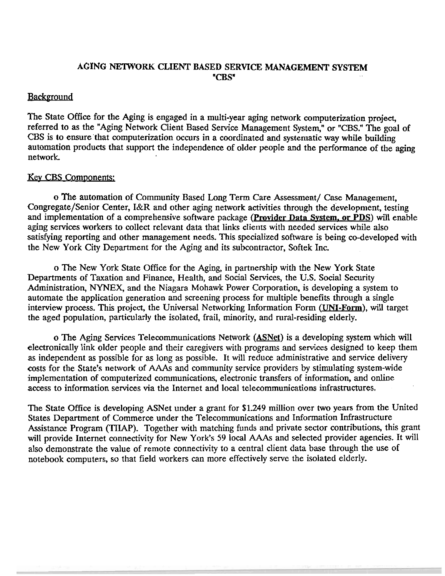# AGING **NETWORK** CLIENT BASED SERVICE MANAGEMENT SYSTEM "CBS\*

# **Background**

The State Office for the Aging is engaged in a multi-year aging network computerization project, referred to as the "Aging Network Client Based Service Management System," or "CBS." The goal of CBS is to ensure that computerization occurs in a coordinated and systematic way while building automation products that support the independence of older people and the performance of the aging network.

# Key CBS Components:

o The automation of Community Based Long Term Care Assessment/ Case Management, Congregate/Senior Center, I&R and other aging network activities through the development, testing and implementation of a comprehensive software package (Provider Data System. or PDS) will enable aging services workers to collect relevant data that links clients with needed services while also satisfying reporting and other management needs. This specialized software is being co-developed with the New York City Department for the Aging and its subcontractor, Softek Inc.

o The New York State Office for the Aging, in partnership with the New York State Departments of Taxation and Finance, Health, and Social Services, the U.S. Social Security Administration, **NYNEX,** and the Niagara Mohawk Power Corporation, is developing a system to automate the application generation and screening process for multiple benefits through a single interview process. This project, the Universal Networking Information Form (UNI-Form), will target the aged population, particularly the isolated, frail, minority, and rural-residing elderly.

o The Aging Services Telecommunications Network (ASNet) is a developing system which will electronically link older people and their caregivers with programs and services designed to keep them as independent as possible for as long as possible. It will reduce administrative and service delivery costs for the State's network of AAAs and community service providers by stimulating system-wide implementation of computerized communications, electronic transfers of information, and online access to information services via the Internet and local telecommunications infrastructures.

The State Office is developing ASNet under a grant for \$1.249 million over two years from the United States Department of Commerce under the Telecommunications and Information Infrastructure Assistance Program (TIIAP). Together with matching funds and private sector contributions, this grant will provide Internet connectivity for New York's 59 local AAAs and selected provider agencies. It will also demonstrate the value of remote connectivity to a central client data base through the use of notebook computers, so that field workers can more effectively serve the isolated elderly.